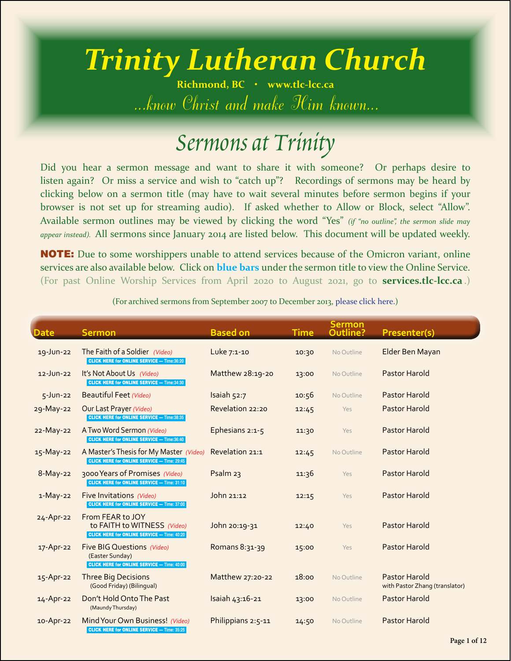## *Trinity Lutheran Church*

**Richmond, BC • [www.tlc-lcc.ca](http://www.tlc-lcc.ca)** *...know Christ and make Him known...*

## *Sermons at Trinity*

Did you hear a sermon message and want to share it with someone? Or perhaps desire to listen again? Or miss a service and wish to "catch up"? Recordings of sermons may be heard by clicking below on a sermon title (may have to wait several minutes before sermon begins if your browser is not set up for streaming audio). If asked whether to Allow or Block, select "Allow". Available sermon outlines may be viewed by clicking the word "Yes" *(if "no outline", the sermon slide may appear instead).* All sermons since January 2014 are listed below. This document will be updated weekly.

**NOTE:** Due to some worshippers unable to attend services because of the Omicron variant, online services are also available below. Click on **blue bars** under the sermon title to view the Online Service. (For past Online Worship Services from April 2020 to August 2021, go to **[services.tlc-lcc.ca](http://services.tlc-lcc.ca/index.php/past-services-in-mpeg4-mp4)** .)

|                 |                                                                                                            |                     |             | Sermon     |                                                        |
|-----------------|------------------------------------------------------------------------------------------------------------|---------------------|-------------|------------|--------------------------------------------------------|
| <b>Date</b>     | <b>Sermon</b>                                                                                              | <b>Based on</b>     | <b>Time</b> | Outline?   | Presenter(s)                                           |
| 19-Jun-22       | The Faith of a Soldier (Video)<br><b>CLICK HERE for ONLINE SERVICE - Time:36:20</b>                        | Luke 7:1-10         | 10:30       | No Outline | Elder Ben Mayan                                        |
| $12$ -Jun-22    | It's Not About Us (Video)<br><b>CLICK HERE for ONLINE SERVICE - Time:34:30</b>                             | Matthew 28:19-20    | 13:00       | No Outline | Pastor Harold                                          |
| $5 - Jun-22$    | <b>Beautiful Feet (Video)</b>                                                                              | Isaiah 52:7         | 10:56       | No Outline | Pastor Harold                                          |
| 29-May-22       | Our Last Prayer (Video)<br><b>CLICK HERE for ONLINE SERVICE - Time:38:35</b>                               | Revelation 22:20    | 12:45       | Yes        | Pastor Harold                                          |
| 22-May-22       | A Two Word Sermon (Video)<br><b>CLICK HERE for ONLINE SERVICE - Time:36:40</b>                             | Ephesians 2:1-5     | 11:30       | Yes        | Pastor Harold                                          |
| 15-May-22       | A Master's Thesis for My Master (Video)<br><b>CLICK HERE for ONLINE SERVICE - Time: 29:45</b>              | Revelation 21:1     | 12:45       | No Outline | Pastor Harold                                          |
| $8-May-22$      | 3000 Years of Promises (Video)<br><b>CLICK HERE for ONLINE SERVICE - Time: 31:10</b>                       | Psalm <sub>23</sub> | 11:36       | Yes        | Pastor Harold                                          |
| $1-May-22$      | Five Invitations (Video)<br><b>CLICK HERE for ONLINE SERVICE - Time: 37:00</b>                             | John 21:12          | 12:15       | Yes        | Pastor Harold                                          |
| $24 - Apr - 22$ | From FEAR to JOY<br>to FAITH to WITNESS (Video)<br><b>CLICK HERE for ONLINE SERVICE - Time: 40:20</b>      | John 20:19-31       | 12:40       | Yes        | Pastor Harold                                          |
| 17-Apr-22       | <b>Five BIG Questions (Video)</b><br>(Easter Sunday)<br><b>CLICK HERE for ONLINE SERVICE - Time: 40:00</b> | Romans 8:31-39      | 15:00       | Yes        | <b>Pastor Harold</b>                                   |
| 15-Apr-22       | <b>Three Big Decisions</b><br>(Good Friday) (Bilingual)                                                    | Matthew 27:20-22    | 18:00       | No Outline | <b>Pastor Harold</b><br>with Pastor Zhang (translator) |
| 14-Apr-22       | Don't Hold Onto The Past<br>(Maundy Thursday)                                                              | Isaiah 43:16-21     | 13:00       | No Outline | Pastor Harold                                          |
| 10-Apr-22       | Mind Your Own Business! (Video)<br><b>CLICK HERE for ONLINE SERVICE - Time: 35:25</b>                      | Philippians 2:5-11  | 14:50       | No Outline | Pastor Harold                                          |

(For archived sermons from September 2007 to December 2013, [please click here.\)](http://sermons.tlc-lcc.ca/tlcsermons(2007-2013-archive).pdf)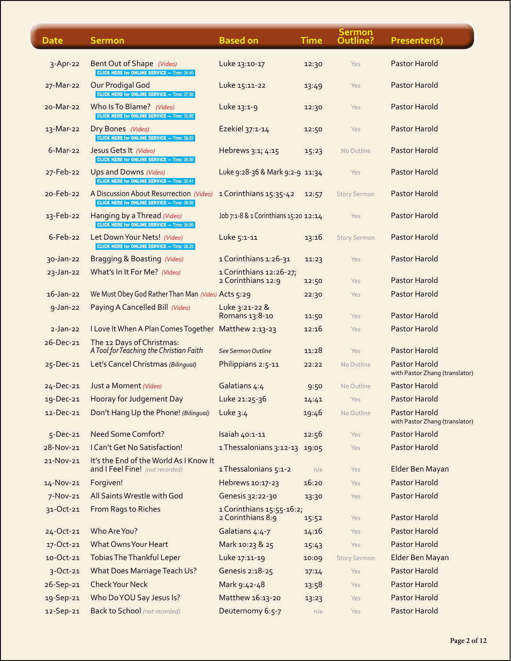| <b>Date</b>    | <b>Sermon</b>                                                                                 | <b>Based on</b>                                | <b>Time</b> | <b>Sermon</b><br>Outline? | Presenter(s)                                           |
|----------------|-----------------------------------------------------------------------------------------------|------------------------------------------------|-------------|---------------------------|--------------------------------------------------------|
| $3 - Apr - 22$ | Bent Out of Shape (Video)<br><b>CLICK HERE for ONLINE SERVICE - Time: 34:40</b>               | Luke 13:10-17                                  | 12:30       | Yes                       | Pastor Harold                                          |
| 27-Mar-22      | Our Prodigal God<br><b>CLICK HERE for ONLINE SERVICE - Time: 37:30</b>                        | Luke 15:11-22                                  | 13:49       | Yes                       | Pastor Harold                                          |
| 20-Mar-22      | Who Is To Blame? (Video)<br><b>CLICK HERE for ONLINE SERVICE - Time: 35:00</b>                | Luke 13:1-9                                    | 12:30       | Yes                       | Pastor Harold                                          |
| 13-Mar-22      | Dry Bones (Video)<br><b>CLICK HERE for ONLINE SERVICE - Time: 36:02</b>                       | Ezekiel 37:1-14                                | 12:50       | Yes                       | Pastor Harold                                          |
| $6$ -Mar-22    | Jesus Gets It (Video)<br><b>CLICK HERE for ONLINE SERVICE - Time: 36:30</b>                   | Hebrews 3:1; 4:15                              | 15:23       | No Outline                | Pastor Harold                                          |
| 27-Feb-22      | Ups and Downs (Video)<br><b>CLICK HERE for ONLINE SERVICE - Time: 35:41</b>                   | Luke 9:28-36 & Mark 9:2-9 11:34                |             | Yes                       | Pastor Harold                                          |
| 20-Feb-22      | A Discussion About Resurrection (Video)<br><b>CLICK HERE for ONLINE SERVICE - Time: 38:00</b> | 1 Corinthians 15:35-42                         | 12:57       | <b>Story Sermon</b>       | Pastor Harold                                          |
| 13-Feb-22      | Hanging by a Thread (Video)<br><b>CLICK HERE for ONLINE SERVICE - Time: 36:00</b>             | Job 7:1-8 & 1 Corinthians 15:20 12:14          |             | Yes                       | Pastor Harold                                          |
| $6$ -Feb-22    | Let Down Your Nets! (Video)<br><b>CLICK HERE for ONLINE SERVICE - Time: 38:25</b>             | Luke 5:1-11                                    | 13:16       | <b>Story Sermon</b>       | Pastor Harold                                          |
| 30-Jan-22      | Bragging & Boasting (Video)                                                                   | 1 Corinthians 1:26-31                          | 11:23       | Yes                       | Pastor Harold                                          |
| 23-Jan-22      | What's In It For Me? (Video)                                                                  | 1 Corinthians 12:26-27;<br>2 Corinthians 12:9  | 12:50       | Yes                       | Pastor Harold                                          |
| $16$ -Jan-22   | We Must Obey God Rather Than Man (Video) Acts 5:29                                            |                                                | 22:30       | Yes                       | Pastor Harold                                          |
| $9$ -Jan-22    | Paying A Cancelled Bill (Video)                                                               | Luke 3:21-22 &<br>Romans 13:8-10               | 11:50       | Yes                       | <b>Pastor Harold</b>                                   |
| $2-Jan-22$     | I Love It When A Plan Comes Together                                                          | Matthew 2:13-23                                | 12:16       | Yes                       | Pastor Harold                                          |
| 26-Dec-21      | The 12 Days of Christmas:                                                                     |                                                |             |                           |                                                        |
|                | A Tool for Teaching the Christian Faith                                                       | See Sermon Outline                             | 11:28       | Yes                       | Pastor Harold                                          |
| 25-Dec-21      | Let's Cancel Christmas (Bilingual)                                                            | Philippians 2:5-11                             | 22:22       | No Outline                | Pastor Harold<br>with Pastor Zhang (translator)        |
| 24-Dec-21      | Just a Moment (Video)                                                                         | Galatians 4:4                                  | 9:50        | No Outline                | Pastor Harold                                          |
|                | 19-Dec-21 Hooray for Judgement Day                                                            | Luke 21:25-36                                  | 14.41       | Yes                       | Pastor Harold                                          |
| 12-Dec-21      | Don't Hang Up the Phone! (Bilingual)                                                          | Luke $3:4$                                     | 19:46       | No Outline                | <b>Pastor Harold</b><br>with Pastor Zhang (translator) |
| 5-Dec-21       | <b>Need Some Comfort?</b>                                                                     | Isaiah 40:1-11                                 | 12:56       | Yes                       | Pastor Harold                                          |
| 28-Nov-21      | I Can't Get No Satisfaction!                                                                  | 1 Thessalonians 3:12-13                        | 19:05       | Yes                       | Pastor Harold                                          |
| 21-Nov-21      | It's the End of the World As I Know It<br>and I Feel Fine! (not recorded)                     | 1 Thessalonians 5:1-2                          | n/a         | Yes                       | Elder Ben Mayan                                        |
| 14-Nov-21      | Forgiven!                                                                                     | Hebrews 10:17-23                               | 16:20       | Yes                       | <b>Pastor Harold</b>                                   |
| $7-Nov-21$     | All Saints Wrestle with God                                                                   | Genesis 32:22-30                               | 13:30       | Yes                       | Pastor Harold                                          |
| 31-Oct-21      | From Rags to Riches                                                                           | 1 Corinthians 15:55-16:2;<br>2 Corinthians 8:9 | 15:52       | Yes                       | <b>Pastor Harold</b>                                   |
| 24-Oct-21      | Who Are You?                                                                                  | Galatians 4:4-7                                | 14:16       | Yes                       | <b>Pastor Harold</b>                                   |
| 17-Oct-21      | <b>What Owns Your Heart</b>                                                                   | Mark 10:23 & 25                                | 15:43       | Yes                       | <b>Pastor Harold</b>                                   |
| 10-Oct-21      | <b>Tobias The Thankful Leper</b>                                                              | Luke 17:11-19                                  | 10:09       | <b>Story Sermon</b>       | Elder Ben Mayan                                        |
| 3-Oct-21       | What Does Marriage Teach Us?                                                                  | Genesis 2:18-25                                | 17:14       | Yes                       | <b>Pastor Harold</b>                                   |
| 26-Sep-21      | <b>Check Your Neck</b>                                                                        | Mark 9:42-48                                   | 13:58       | Yes                       | <b>Pastor Harold</b>                                   |
| 19-Sep-21      | Who Do YOU Say Jesus Is?                                                                      | Matthew 16:13-20                               | 13:23       | Yes                       | <b>Pastor Harold</b>                                   |
| 12-Sep-21      | <b>Back to School</b> (not recorded)                                                          | Deuternomy 6:5-7                               | n/a         | Yes                       | <b>Pastor Harold</b>                                   |

ű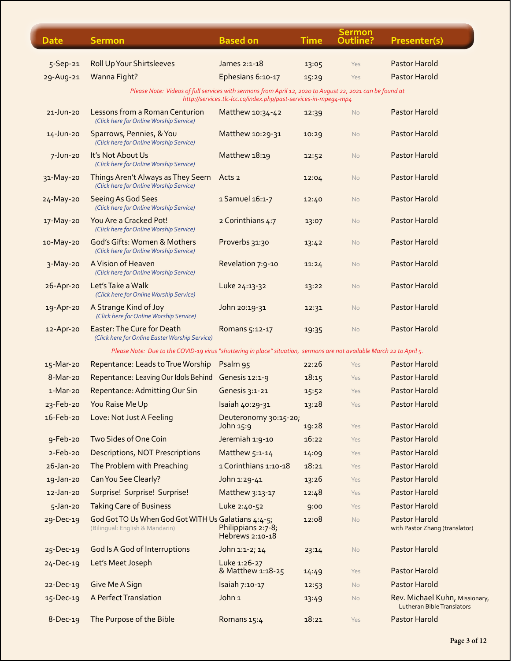| <b>Date</b>     | <b>Sermon</b>                                                                                                          | <b>Based on</b>                                                 | <b>Time</b> | Sermon<br>Outline? | Presenter(s)                                                        |
|-----------------|------------------------------------------------------------------------------------------------------------------------|-----------------------------------------------------------------|-------------|--------------------|---------------------------------------------------------------------|
| $5-$ Sep $-21$  | <b>Roll Up Your Shirtsleeves</b>                                                                                       | James 2:1-18                                                    | 13:05       | Yes                | Pastor Harold                                                       |
| 29-Aug-21       | Wanna Fight?                                                                                                           | Ephesians 6:10-17                                               | 15:29       | Yes                | Pastor Harold                                                       |
|                 | Please Note: Videos of full services with sermons from April 12, 2020 to August 22, 2021 can be found at               |                                                                 |             |                    |                                                                     |
|                 |                                                                                                                        | http://services.tlc-lcc.ca/index.php/past-services-in-mpeg4-mp4 |             |                    |                                                                     |
| $21$ -Jun-20    | Lessons from a Roman Centurion<br>(Click here for Online Worship Service)                                              | Matthew 10:34-42                                                | 12:39       | <b>No</b>          | Pastor Harold                                                       |
| 14-Jun-20       | Sparrows, Pennies, & You<br>(Click here for Online Worship Service)                                                    | Matthew 10:29-31                                                | 10:29       | <b>No</b>          | Pastor Harold                                                       |
| $7 - Jun-20$    | It's Not About Us<br>(Click here for Online Worship Service)                                                           | Matthew 18:19                                                   | 12:52       | <b>No</b>          | Pastor Harold                                                       |
| 31-May-20       | Things Aren't Always as They Seem<br>(Click here for Online Worship Service)                                           | Acts <sub>2</sub>                                               | 12:04       | <b>No</b>          | Pastor Harold                                                       |
| 24-May-20       | <b>Seeing As God Sees</b><br>(Click here for Online Worship Service)                                                   | 1 Samuel 16:1-7                                                 | 12:40       | <b>No</b>          | Pastor Harold                                                       |
| 17-May-20       | You Are a Cracked Pot!<br>(Click here for Online Worship Service)                                                      | 2 Corinthians 4:7                                               | 13:07       | <b>No</b>          | Pastor Harold                                                       |
| 10-May-20       | God's Gifts: Women & Mothers<br>(Click here for Online Worship Service)                                                | Proverbs 31:30                                                  | 13:42       | <b>No</b>          | Pastor Harold                                                       |
| $3-May-20$      | A Vision of Heaven<br>(Click here for Online Worship Service)                                                          | Revelation 7:9-10                                               | 11:24       | <b>No</b>          | Pastor Harold                                                       |
| 26-Apr-20       | Let's Take a Walk<br>(Click here for Online Worship Service)                                                           | Luke 24:13-32                                                   | 13:22       | No                 | Pastor Harold                                                       |
| 19-Apr-20       | A Strange Kind of Joy<br>(Click here for Online Worship Service)                                                       | John 20:19-31                                                   | 12:31       | <b>No</b>          | Pastor Harold                                                       |
| 12-Apr-20       | Easter: The Cure for Death<br>(Click here for Online Easter Worship Service)                                           | Romans 5:12-17                                                  | 19:35       | <b>No</b>          | Pastor Harold                                                       |
|                 | Please Note: Due to the COVID-19 virus "shuttering in place" situation, sermons are not available March 22 to April 5. |                                                                 |             |                    |                                                                     |
| 15-Mar-20       | Repentance: Leads to True Worship                                                                                      | Psalm 95                                                        | 22:26       | Yes                | Pastor Harold                                                       |
| 8-Mar-20        | Repentance: Leaving Our Idols Behind                                                                                   | Genesis 12:1-9                                                  | 18:15       | Yes                | Pastor Harold                                                       |
| $1-Mar-20$      | Repentance: Admitting Our Sin                                                                                          | Genesis 3:1-21                                                  | 15:52       | Yes                | Pastor Harold                                                       |
| 23-Feb-20       | You Raise Me Up                                                                                                        | Isaiah 40:29-31                                                 | 13:28       | Yes                | <b>Pastor Harold</b>                                                |
| 16-Feb-20       | Love: Not Just A Feeling                                                                                               | Deuteronomy 30:15-20;                                           |             |                    |                                                                     |
|                 |                                                                                                                        | John 15:9                                                       | 19:28       | Yes                | Pastor Harold                                                       |
| $9-Feb-20$      | Two Sides of One Coin                                                                                                  | Jeremiah 1:9-10                                                 | 16:22       | Yes                | Pastor Harold                                                       |
| $2-Feb-20$      | <b>Descriptions, NOT Prescriptions</b>                                                                                 | Matthew 5:1-14                                                  | 14:09       | Yes                | Pastor Harold                                                       |
| $26$ -Jan- $20$ | The Problem with Preaching                                                                                             | 1 Corinthians 1:10-18                                           | 18:21       | Yes                | <b>Pastor Harold</b>                                                |
| 19-Jan-20       | Can You See Clearly?                                                                                                   | John 1:29-41                                                    | 13:26       | Yes                | Pastor Harold                                                       |
| $12$ -Jan-20    | Surprise! Surprise! Surprise!                                                                                          | Matthew 3:13-17                                                 | 12:48       | Yes                | <b>Pastor Harold</b>                                                |
| $5 - Jan-20$    | <b>Taking Care of Business</b>                                                                                         | Luke 2:40-52                                                    | 9:00        | Yes                | Pastor Harold                                                       |
| 29-Dec-19       | God Got TO Us When God Got WITH Us Galatians 4:4-5;<br>(Bilingual: English & Mandarin)                                 | Philippians 2:7-8;<br>Hebrews 2:10-18                           | 12:08       | <b>No</b>          | <b>Pastor Harold</b><br>with Pastor Zhang (translator)              |
| 25-Dec-19       | God Is A God of Interruptions                                                                                          | John 1:1-2; 14                                                  | 23:14       | <b>No</b>          | Pastor Harold                                                       |
| 24-Dec-19       | Let's Meet Joseph                                                                                                      | Luke 1:26-27<br>& Matthew 1:18-25                               | 14:49       | Yes                | Pastor Harold                                                       |
| 22-Dec-19       | Give Me A Sign                                                                                                         | Isaiah 7:10-17                                                  | 12:53       | <b>No</b>          | <b>Pastor Harold</b>                                                |
| 15-Dec-19       | A Perfect Translation                                                                                                  | John <sub>1</sub>                                               | 13:49       | No                 | Rev. Michael Kuhn, Missionary,<br><b>Lutheran Bible Translators</b> |
| 8-Dec-19        | The Purpose of the Bible                                                                                               | Romans 15:4                                                     | 18:21       | Yes                | Pastor Harold                                                       |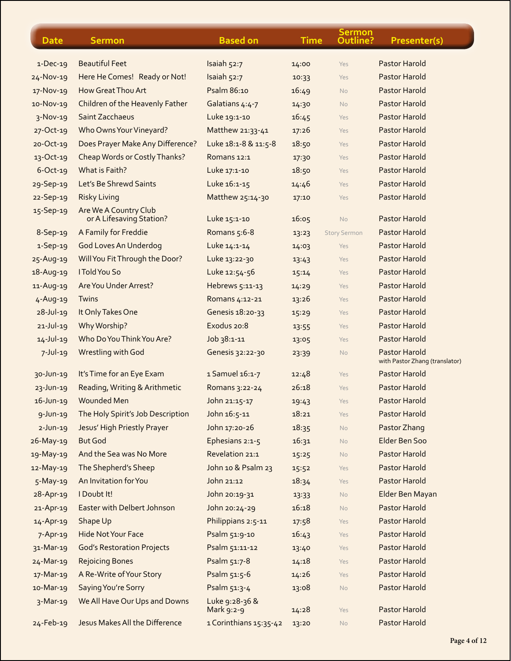| <b>Date</b>     | <b>Sermon</b>                                     | <b>Based on</b>              | <b>Time</b> | <b>Sermon</b><br>Outline? | Presenter(s)                                           |
|-----------------|---------------------------------------------------|------------------------------|-------------|---------------------------|--------------------------------------------------------|
| $1-Dec-19$      | <b>Beautiful Feet</b>                             | Isaiah 52:7                  | 14:00       | Yes                       | <b>Pastor Harold</b>                                   |
| $24 - Nov-19$   | Here He Comes! Ready or Not!                      | Isaiah 52:7                  | 10:33       | Yes                       | Pastor Harold                                          |
| 17-Nov-19       | How Great Thou Art                                | Psalm 86:10                  | 16:49       | <b>No</b>                 | <b>Pastor Harold</b>                                   |
| 10-Nov-19       | Children of the Heavenly Father                   | Galatians 4:4-7              | 14:30       | <b>No</b>                 | <b>Pastor Harold</b>                                   |
| $3-Nov-19$      | Saint Zacchaeus                                   | Luke 19:1-10                 | 16:45       | Yes                       | <b>Pastor Harold</b>                                   |
| 27-Oct-19       | Who Owns Your Vineyard?                           | Matthew 21:33-41             | 17:26       | Yes                       | <b>Pastor Harold</b>                                   |
| $20 - Oct-19$   | Does Prayer Make Any Difference?                  | Luke 18:1-8 & 11:5-8         | 18:50       | Yes                       | <b>Pastor Harold</b>                                   |
| $13-Oct-19$     | Cheap Words or Costly Thanks?                     | Romans 12:1                  | 17:30       | Yes                       | <b>Pastor Harold</b>                                   |
| $6-Oct-19$      | What is Faith?                                    | Luke 17:1-10                 | 18:50       | Yes                       | <b>Pastor Harold</b>                                   |
| 29-Sep-19       | Let's Be Shrewd Saints                            | Luke 16:1-15                 | 14:46       | Yes                       | <b>Pastor Harold</b>                                   |
| 22-Sep-19       | <b>Risky Living</b>                               | Matthew 25:14-30             | 17:10       | Yes                       | <b>Pastor Harold</b>                                   |
| 15-Sep-19       | Are We A Country Club<br>or A Lifesaving Station? | Luke 15:1-10                 | 16:05       | <b>No</b>                 | Pastor Harold                                          |
| 8-Sep-19        | A Family for Freddie                              | Romans 5:6-8                 | 13:23       | <b>Story Sermon</b>       | Pastor Harold                                          |
| 1-Sep-19        | God Loves An Underdog                             | Luke 14:1-14                 | 14:03       | Yes                       | <b>Pastor Harold</b>                                   |
| 25-Aug-19       | Will You Fit Through the Door?                    | Luke 13:22-30                | 13.43       | Yes                       | <b>Pastor Harold</b>                                   |
| 18-Aug-19       | I Told You So                                     | Luke 12:54-56                | 15:14       | Yes                       | Pastor Harold                                          |
| 11-Aug-19       | Are You Under Arrest?                             | Hebrews 5:11-13              | 14:29       | Yes                       | <b>Pastor Harold</b>                                   |
| $4 - Aug-19$    | Twins                                             | Romans 4:12-21               | 13:26       | Yes                       | <b>Pastor Harold</b>                                   |
| $28 - Jul - 19$ | It Only Takes One                                 | Genesis 18:20-33             | 15:29       | Yes                       | Pastor Harold                                          |
| $21 - JU - 19$  | Why Worship?                                      | Exodus 20:8                  | 13:55       | Yes                       | <b>Pastor Harold</b>                                   |
| $14 - Jul - 19$ | Who Do You Think You Are?                         | Job 38:1-11                  | 13:05       | Yes                       | <b>Pastor Harold</b>                                   |
| $7$ -Jul-19     | Wrestling with God                                | Genesis 32:22-30             | 23:39       | No                        | <b>Pastor Harold</b><br>with Pastor Zhang (translator) |
| $30 - Jun-19$   | It's Time for an Eye Exam                         | 1 Samuel 16:1-7              | 12:48       | Yes                       | <b>Pastor Harold</b>                                   |
| $23 - Jun - 19$ | Reading, Writing & Arithmetic                     | Romans 3:22-24               | 26:18       | Yes                       | <b>Pastor Harold</b>                                   |
| $16$ -Jun-19    | <b>Wounded Men</b>                                | John 21:15-17                | 19:43       | Yes                       | <b>Pastor Harold</b>                                   |
| $9$ -Jun-19     | The Holy Spirit's Job Description                 | John 16:5-11                 | 18:21       | Yes                       | Pastor Harold                                          |
| $2-Jun-19$      | Jesus' High Priestly Prayer                       | John 17:20-26                | 18:35       | <b>No</b>                 | Pastor Zhang                                           |
| $26$ -May-19    | <b>But God</b>                                    | Ephesians 2:1-5              | 16:31       | <b>No</b>                 | Elder Ben Soo                                          |
| 19-May-19       | And the Sea was No More                           | Revelation 21:1              | 15:25       | <b>No</b>                 | <b>Pastor Harold</b>                                   |
| 12-May-19       | The Shepherd's Sheep                              | John 10 & Psalm 23           | 15:52       | Yes                       | Pastor Harold                                          |
| $5-May-19$      | An Invitation for You                             | John 21:12                   | 18:34       | Yes                       | <b>Pastor Harold</b>                                   |
| 28-Apr-19       | I Doubt It!                                       | John 20:19-31                | 13:33       | <b>No</b>                 | Elder Ben Mayan                                        |
| 21-Apr-19       | Easter with Delbert Johnson                       | John 20:24-29                | 16:18       | <b>No</b>                 | Pastor Harold                                          |
| 14-Apr-19       | Shape Up                                          | Philippians 2:5-11           | 17:58       | Yes                       | <b>Pastor Harold</b>                                   |
| $7 -$ Apr-19    | <b>Hide Not Your Face</b>                         | Psalm 51:9-10                | 16:43       | Yes                       | <b>Pastor Harold</b>                                   |
| 31-Mar-19       | <b>God's Restoration Projects</b>                 | Psalm 51:11-12               | 13:40       | Yes                       | Pastor Harold                                          |
| $24 - $ Mar-19  | <b>Rejoicing Bones</b>                            | Psalm 51:7-8                 | 14:18       | Yes                       | Pastor Harold                                          |
| 17-Mar-19       | A Re-Write of Your Story                          | Psalm 51:5-6                 | 14:26       | Yes                       | <b>Pastor Harold</b>                                   |
| 10-Mar-19       | Saying You're Sorry                               | Psalm 51:3-4                 | 13:08       | <b>No</b>                 | Pastor Harold                                          |
| $3-Mar-19$      | We All Have Our Ups and Downs                     | Luke 9:28-36 &<br>Mark 9:2-9 | 14:28       | Yes                       | <b>Pastor Harold</b>                                   |
| $24 - Feb - 19$ | Jesus Makes All the Difference                    | 1 Corinthians 15:35-42       | 13:20       | No                        | Pastor Harold                                          |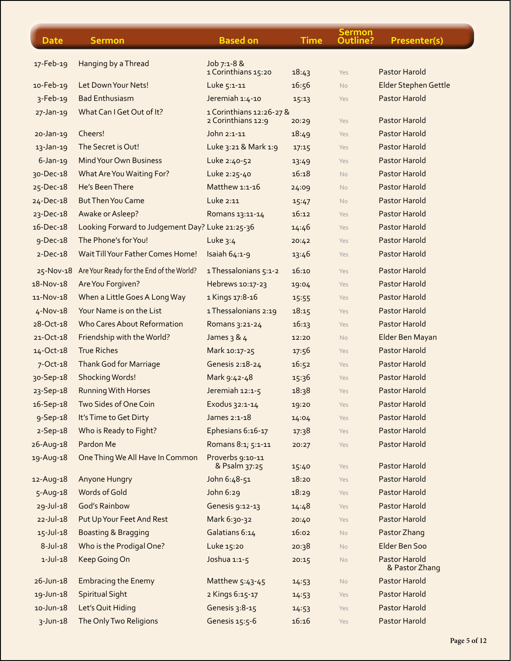| <b>Date</b>     | <b>Sermon</b>                                      | <b>Based on</b>                    | <b>Time</b> | <b>Sermon</b><br>Outline? | Presenter(s)                    |
|-----------------|----------------------------------------------------|------------------------------------|-------------|---------------------------|---------------------------------|
|                 |                                                    |                                    |             |                           |                                 |
| 17-Feb-19       | Hanging by a Thread                                | Job 7:1-8 &<br>1 Corinthians 15:20 | 18:43       | Yes                       | <b>Pastor Harold</b>            |
| 10-Feb-19       | Let Down Your Nets!                                | Luke 5:1-11                        | 16:56       | <b>No</b>                 | Elder Stephen Gettle            |
| $3-Feb-19$      | <b>Bad Enthusiasm</b>                              | Jeremiah 1:4-10                    | 15:13       | Yes                       | <b>Pastor Harold</b>            |
| $27$ -Jan-19    | What Can I Get Out of It?                          | 1 Corinthians 12:26-27 &           |             |                           |                                 |
|                 |                                                    | 2 Corinthians 12:9                 | 20:29       | Yes                       | <b>Pastor Harold</b>            |
| $20 - Jan - 19$ | Cheers!                                            | John 2:1-11                        | 18:49       | Yes                       | <b>Pastor Harold</b>            |
| $13$ -Jan-19    | The Secret is Out!                                 | Luke 3:21 & Mark 1:9               | 17:15       | Yes                       | Pastor Harold                   |
| $6$ -Jan-19     | <b>Mind Your Own Business</b>                      | Luke 2:40-52                       | 13:49       | Yes                       | <b>Pastor Harold</b>            |
| 30-Dec-18       | What Are You Waiting For?                          | Luke 2:25-40                       | 16:18       | No                        | <b>Pastor Harold</b>            |
| 25-Dec-18       | He's Been There                                    | Matthew 1:1-16                     | 24:09       | <b>No</b>                 | <b>Pastor Harold</b>            |
| 24-Dec-18       | <b>But Then You Came</b>                           | Luke 2:11                          | 15:47       | <b>No</b>                 | <b>Pastor Harold</b>            |
| 23-Dec-18       | Awake or Asleep?                                   | Romans 13:11-14                    | 16:12       | Yes                       | <b>Pastor Harold</b>            |
| 16-Dec-18       | Looking Forward to Judgement Day? Luke 21:25-36    |                                    | 14:46       | Yes                       | Pastor Harold                   |
| $9-Dec-18$      | The Phone's for You!                               | Luke $3:4$                         | 20:42       | Yes                       | <b>Pastor Harold</b>            |
| $2-Dec-18$      | Wait Till Your Father Comes Home!                  | Isaiah 64:1-9                      | 13:46       | Yes                       | Pastor Harold                   |
|                 | 25-Nov-18 Are Your Ready for the End of the World? | 1 Thessalonians 5:1-2              | 16:10       | Yes                       | Pastor Harold                   |
| 18-Nov-18       | Are You Forgiven?                                  | Hebrews 10:17-23                   | 19:04       | Yes                       | <b>Pastor Harold</b>            |
| 11-Nov-18       | When a Little Goes A Long Way                      | 1 Kings 17:8-16                    | 15:55       | Yes                       | <b>Pastor Harold</b>            |
| $4-Nov-18$      | Your Name is on the List                           | 1 Thessalonians 2:19               | 18:15       | Yes                       | <b>Pastor Harold</b>            |
| 28-Oct-18       | <b>Who Cares About Reformation</b>                 | Romans 3:21-24                     | 16:13       | Yes                       | <b>Pastor Harold</b>            |
| 21-Oct-18       | Friendship with the World?                         | James 3 & 4                        | 12:20       | <b>No</b>                 | Elder Ben Mayan                 |
| 14-Oct-18       | <b>True Riches</b>                                 | Mark 10:17-25                      | 17:56       | Yes                       | <b>Pastor Harold</b>            |
| 7-Oct-18        | <b>Thank God for Marriage</b>                      | Genesis 2:18-24                    | 16:52       | Yes                       | <b>Pastor Harold</b>            |
| 30-Sep-18       | <b>Shocking Words!</b>                             | Mark 9:42-48                       | 15:36       | Yes                       | Pastor Harold                   |
| 23-Sep-18       | <b>Running With Horses</b>                         | Jeremiah 12:1-5                    | 18:38       | Yes                       | <b>Pastor Harold</b>            |
| 16-Sep-18       | Two Sides of One Coin                              | Exodus 32:1-14                     | 19:20       | Yes                       | <b>Pastor Harold</b>            |
| 9-Sep-18        | It's Time to Get Dirty                             | James 2:1-18                       | 14:04       | Yes                       | <b>Pastor Harold</b>            |
| $2-Sep-18$      | Who is Ready to Fight?                             | Ephesians 6:16-17                  | 17:38       | Yes                       | Pastor Harold                   |
| 26-Aug-18       | Pardon Me                                          | Romans 8:1; 5:1-11                 | 20:27       | Yes                       | <b>Pastor Harold</b>            |
| 19-Aug-18       | One Thing We All Have In Common                    | Proverbs 9:10-11                   |             |                           |                                 |
|                 |                                                    | & Psalm 37:25                      | 15:40       | Yes                       | Pastor Harold                   |
| 12-Aug-18       | Anyone Hungry                                      | John 6:48-51                       | 18:20       | Yes                       | <b>Pastor Harold</b>            |
| 5-Aug-18        | Words of Gold                                      | John 6:29                          | 18:29       | Yes                       | <b>Pastor Harold</b>            |
| $29 - Jul - 18$ | <b>God's Rainbow</b>                               | Genesis 9:12-13                    | 14:48       | Yes                       | <b>Pastor Harold</b>            |
| $22 - Jul - 18$ | Put Up Your Feet And Rest                          | Mark 6:30-32                       | 20:40       | Yes                       | <b>Pastor Harold</b>            |
| $15 -$ Jul-18   | <b>Boasting &amp; Bragging</b>                     | Galatians 6:14                     | 16:02       | <b>No</b>                 | Pastor Zhang                    |
| $8-Jul-18$      | Who is the Prodigal One?                           | Luke 15:20                         | 20:38       | <b>No</b>                 | Elder Ben Soo                   |
| $1-Jul-18$      | Keep Going On                                      | Joshua 1:1-5                       | 20:15       | <b>No</b>                 | Pastor Harold<br>& Pastor Zhang |
| $26 - Jun - 18$ | <b>Embracing the Enemy</b>                         | Matthew 5:43-45                    | 14:53       | <b>No</b>                 | <b>Pastor Harold</b>            |
| 19-Jun-18       | <b>Spiritual Sight</b>                             | 2 Kings 6:15-17                    | 14:53       | Yes                       | Pastor Harold                   |
| $10 - Jun-18$   | Let's Quit Hiding                                  | Genesis 3:8-15                     | 14:53       | Yes                       | <b>Pastor Harold</b>            |
| $3$ -Jun-18     | The Only Two Religions                             | Genesis 15:5-6                     | 16:16       | Yes                       | Pastor Harold                   |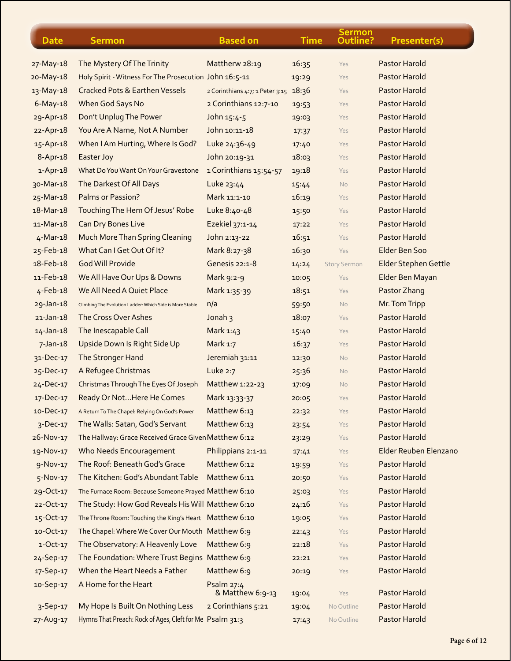| <b>Date</b>     | <b>Sermon</b>                                            | <b>Based on</b>                 | <b>Time</b> | <b>Sermon</b><br>Outline? | Presenter(s)          |
|-----------------|----------------------------------------------------------|---------------------------------|-------------|---------------------------|-----------------------|
| 27-May-18       | The Mystery Of The Trinity                               | Mattherw 28:19                  | 16:35       | Yes                       | Pastor Harold         |
| 20-May-18       | Holy Spirit - Witness For The Prosecution John 16:5-11   |                                 | 19:29       | Yes                       | <b>Pastor Harold</b>  |
| 13-May-18       | <b>Cracked Pots &amp; Earthen Vessels</b>                | 2 Corinthians 4:7; 1 Peter 3:15 | 18:36       | Yes                       | Pastor Harold         |
| $6$ -May-18     | When God Says No                                         | 2 Corinthians 12:7-10           | 19:53       | Yes                       | Pastor Harold         |
| 29-Apr-18       | Don't Unplug The Power                                   | John 15:4-5                     | 19:03       | Yes                       | Pastor Harold         |
| 22-Apr-18       | You Are A Name, Not A Number                             | John 10:11-18                   | 17:37       | Yes                       | Pastor Harold         |
| 15-Apr-18       | When I Am Hurting, Where Is God?                         | Luke 24:36-49                   | 17:40       | Yes                       | <b>Pastor Harold</b>  |
| 8-Apr-18        | Easter Joy                                               | John 20:19-31                   | 18:03       | Yes                       | Pastor Harold         |
| $1-Apr-18$      | What Do You Want On Your Gravestone                      | 1 Corinthians 15:54-57          | 19:18       | Yes                       | Pastor Harold         |
| 30-Mar-18       | The Darkest Of All Days                                  | Luke 23:44                      | 15:44       | No                        | Pastor Harold         |
| 25-Mar-18       | <b>Palms or Passion?</b>                                 | Mark 11:1-10                    | 16:19       | Yes                       | Pastor Harold         |
| 18-Mar-18       | Touching The Hem Of Jesus' Robe                          | Luke 8:40-48                    | 15:50       | Yes                       | Pastor Harold         |
| 11-Mar-18       | <b>Can Dry Bones Live</b>                                | Ezekiel 37:1-14                 | 17:22       | Yes                       | Pastor Harold         |
| $4-Mar-18$      | <b>Much More Than Spring Cleaning</b>                    | John 2:13-22                    | 16:51       | Yes                       | Pastor Harold         |
| 25-Feb-18       | What Can I Get Out Of It?                                | Mark 8:27-38                    | 16:30       | Yes                       | Elder Ben Soo         |
| 18-Feb-18       | <b>God Will Provide</b>                                  | <b>Genesis 22:1-8</b>           | 14:24       | <b>Story Sermon</b>       | Elder Stephen Gettle  |
| 11-Feb-18       | We All Have Our Ups & Downs                              | Mark 9:2-9                      | 10:05       | Yes                       | Elder Ben Mayan       |
| $4 - Feb - 18$  | We All Need A Quiet Place                                | Mark 1:35-39                    | 18:51       | Yes                       | Pastor Zhang          |
| $29$ -Jan-18    | Climbing The Evolution Ladder: Which Side is More Stable | n/a                             | 59:50       | No                        | Mr. Tom Tripp         |
| $21$ -Jan-18    | The Cross Over Ashes                                     | Jonah 3                         | 18:07       | Yes                       | <b>Pastor Harold</b>  |
| $14 - Jan - 18$ | The Inescapable Call                                     | Mark 1:43                       | 15:40       | Yes                       | <b>Pastor Harold</b>  |
| $7 - Jan - 18$  | Upside Down Is Right Side Up                             | Mark 1:7                        | 16:37       | Yes                       | Pastor Harold         |
| 31-Dec-17       | The Stronger Hand                                        | Jeremiah 31:11                  | 12:30       | No                        | <b>Pastor Harold</b>  |
| 25-Dec-17       | A Refugee Christmas                                      | Luke 2:7                        | 25:36       | <b>No</b>                 | Pastor Harold         |
| 24-Dec-17       | Christmas Through The Eyes Of Joseph                     | Matthew 1:22-23                 | 17:09       | No                        | <b>Pastor Harold</b>  |
| 17-Dec-17       | Ready Or Not Here He Comes                               | Mark 13:33-37                   | 20:05       | Yes                       | <b>Pastor Harold</b>  |
| $10 - Dec-17$   | A Return To The Chapel: Relying On God's Power           | Matthew 6:13                    | 22:32       | Yes                       | Pastor Harold         |
| 3-Dec-17        | The Walls: Satan, God's Servant                          | Matthew 6:13                    | 23:54       | Yes                       | <b>Pastor Harold</b>  |
| 26-Nov-17       | The Hallway: Grace Received Grace Given Matthew 6:12     |                                 | 23:29       | Yes                       | Pastor Harold         |
| 19-Nov-17       | Who Needs Encouragement                                  | Philippians 2:1-11              | 17.41       | Yes                       | Elder Reuben Elenzano |
| 9-Nov-17        | The Roof: Beneath God's Grace                            | Matthew 6:12                    | 19:59       | Yes                       | Pastor Harold         |
| $5-Nov-17$      | The Kitchen: God's Abundant Table                        | Matthew 6:11                    | 20:50       | Yes                       | Pastor Harold         |
| 29-Oct-17       | The Furnace Room: Because Someone Prayed Matthew 6:10    |                                 | 25:03       | Yes                       | Pastor Harold         |
| 22-Oct-17       | The Study: How God Reveals His Will Matthew 6:10         |                                 | 24:16       | Yes                       | <b>Pastor Harold</b>  |
| 15-Oct-17       | The Throne Room: Touching the King's Heart Matthew 6:10  |                                 | 19:05       | Yes                       | Pastor Harold         |
| 10-Oct-17       | The Chapel: Where We Cover Our Mouth Matthew 6:9         |                                 | 22:43       | Yes                       | Pastor Harold         |
| $1-Oct-17$      | The Observatory: A Heavenly Love                         | Matthew 6:9                     | 22:18       | Yes                       | <b>Pastor Harold</b>  |
| 24-Sep-17       | The Foundation: Where Trust Begins Matthew 6:9           |                                 | 22:21       | Yes                       | Pastor Harold         |
| 17-Sep-17       | When the Heart Needs a Father                            | Matthew 6:9                     | 20:19       | Yes                       | Pastor Harold         |
| 10-Sep-17       | A Home for the Heart                                     | Psalm 27:4<br>& Matthew 6:9-13  | 19:04       | Yes                       | Pastor Harold         |
| $3-$ Sep-17     | My Hope Is Built On Nothing Less                         | 2 Corinthians 5:21              | 19:04       | No Outline                | <b>Pastor Harold</b>  |
| 27-Aug-17       | Hymns That Preach: Rock of Ages, Cleft for Me Psalm 31:3 |                                 | 17:43       | No Outline                | Pastor Harold         |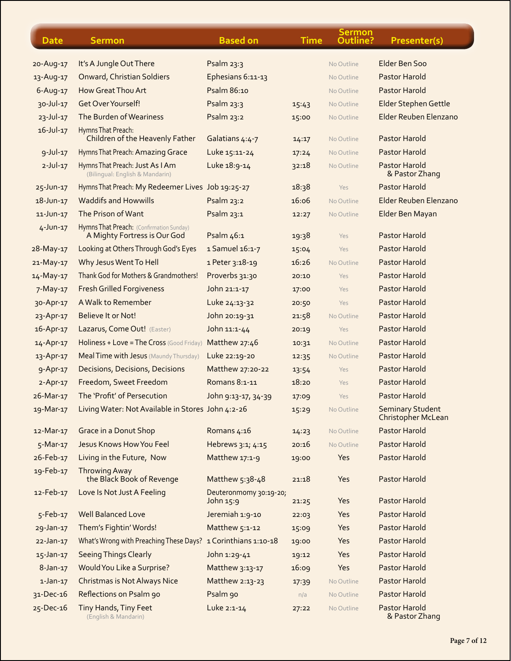| <b>Date</b>     | <b>Sermon</b>                                                            | <b>Based on</b>                     | <b>Time</b> | <b>Sermon</b><br>Outline? | Presenter(s)                                  |
|-----------------|--------------------------------------------------------------------------|-------------------------------------|-------------|---------------------------|-----------------------------------------------|
| 20-Aug-17       | It's A Jungle Out There                                                  | Psalm 23:3                          |             | No Outline                | Elder Ben Soo                                 |
| 13-Aug-17       | <b>Onward, Christian Soldiers</b>                                        | Ephesians 6:11-13                   |             | No Outline                | Pastor Harold                                 |
| $6-Aug-17$      | How Great Thou Art                                                       | Psalm 86:10                         |             | No Outline                | Pastor Harold                                 |
| 30-Jul-17       | Get Over Yourself!                                                       | Psalm 23:3                          | 15:43       | No Outline                | Elder Stephen Gettle                          |
| $23 - Jul - 17$ | The Burden of Weariness                                                  | Psalm 23:2                          | 15:00       | No Outline                | Elder Reuben Elenzano                         |
| $16 - Jul - 17$ | Hymns That Preach:<br>Children of the Heavenly Father                    | Galatians 4:4-7                     | 14:17       | No Outline                | <b>Pastor Harold</b>                          |
| $9 - Jul - 17$  | Hymns That Preach: Amazing Grace                                         | Luke 15:11-24                       | 17:24       | No Outline                | <b>Pastor Harold</b>                          |
| $2$ -Jul-17     | Hymns That Preach: Just As I Am<br>(Bilingual: English & Mandarin)       | Luke 18:9-14                        | 32:18       | No Outline                | <b>Pastor Harold</b><br>& Pastor Zhang        |
| 25-Jun-17       | Hymns That Preach: My Redeemer Lives Job 19:25-27                        |                                     | 18:38       | Yes                       | <b>Pastor Harold</b>                          |
| 18-Jun-17       | <b>Waddifs and Howwills</b>                                              | Psalm 23:2                          | 16:06       | No Outline                | Elder Reuben Elenzano                         |
| 11-Jun-17       | The Prison of Want                                                       | Psalm 23:1                          | 12:27       | No Outline                | Elder Ben Mayan                               |
| $4$ -Jun-17     | Hymns That Preach: (Confirmation Sunday)<br>A Mighty Fortress is Our God | Psalm 46:1                          | 19:38       | Yes                       | <b>Pastor Harold</b>                          |
| 28-May-17       | Looking at Others Through God's Eyes                                     | 1 Samuel 16:1-7                     | 15:04       | Yes                       | <b>Pastor Harold</b>                          |
| 21-May-17       | Why Jesus Went To Hell                                                   | 1 Peter 3:18-19                     | 16:26       | No Outline                | Pastor Harold                                 |
| 14-May-17       | Thank God for Mothers & Grandmothers!                                    | Proverbs 31:30                      | 20:10       | Yes                       | <b>Pastor Harold</b>                          |
| $7-May-17$      | <b>Fresh Grilled Forgiveness</b>                                         | John 21:1-17                        | 17:00       | Yes                       | <b>Pastor Harold</b>                          |
| 30-Apr-17       | A Walk to Remember                                                       | Luke 24:13-32                       | 20:50       | Yes                       | <b>Pastor Harold</b>                          |
| 23-Apr-17       | Believe It or Not!                                                       | John 20:19-31                       | 21:58       | No Outline                | <b>Pastor Harold</b>                          |
| 16-Apr-17       | Lazarus, Come Out! (Easter)                                              | John 11:1-44                        | 20:19       | Yes                       | <b>Pastor Harold</b>                          |
| 14-Apr-17       | Holiness + Love = The Cross (Good Friday)                                | Matthew 27:46                       | 10:31       | No Outline                | <b>Pastor Harold</b>                          |
| 13-Apr-17       | Meal Time with Jesus (Maundy Thursday)                                   | Luke 22:19-20                       | 12:35       | No Outline                | <b>Pastor Harold</b>                          |
| 9-Apr-17        | <b>Decisions, Decisions, Decisions</b>                                   | Matthew 27:20-22                    | 13:54       | Yes                       | <b>Pastor Harold</b>                          |
| $2 - Apr-17$    | Freedom, Sweet Freedom                                                   | Romans 8:1-11                       | 18:20       | Yes                       | <b>Pastor Harold</b>                          |
| 26-Mar-17       | The 'Profit' of Persecution                                              | John 9:13-17, 34-39                 | 17:09       | Yes                       | <b>Pastor Harold</b>                          |
| 19-Mar-17       | Living Water: Not Available in Stores John 4:2-26                        |                                     | 15:29       | No Outline                | <b>Seminary Student</b><br>Christopher McLean |
| 12-Mar-17       | <b>Grace in a Donut Shop</b>                                             | Romans 4:16                         | 14:23       | No Outline                | Pastor Harold                                 |
| $5$ -Mar-17     | Jesus Knows How You Feel                                                 | Hebrews 3:1; 4:15                   | 20:16       | No Outline                | <b>Pastor Harold</b>                          |
| 26-Feb-17       | Living in the Future, Now                                                | Matthew 17:1-9                      | 19:00       | Yes                       | <b>Pastor Harold</b>                          |
| 19-Feb-17       | Throwing Away<br>the Black Book of Revenge                               | Matthew 5:38-48                     | 21:18       | Yes                       | Pastor Harold                                 |
| 12-Feb-17       | Love Is Not Just A Feeling                                               | Deuteronmomy 30:19-20;<br>John 15:9 | 21:25       | Yes                       | Pastor Harold                                 |
| 5-Feb-17        | <b>Well Balanced Love</b>                                                | Jeremiah 1:9-10                     | 22:03       | Yes                       | <b>Pastor Harold</b>                          |
| 29-Jan-17       | Them's Fightin' Words!                                                   | Matthew 5:1-12                      | 15:09       | Yes                       | <b>Pastor Harold</b>                          |
| $22$ -Jan-17    | What's Wrong with Preaching These Days? 1 Corinthians 1:10-18            |                                     | 19:00       | Yes                       | <b>Pastor Harold</b>                          |
| 15-Jan-17       | <b>Seeing Things Clearly</b>                                             | John 1:29-41                        | 19:12       | Yes                       | <b>Pastor Harold</b>                          |
| $8-Jan-17$      | Would You Like a Surprise?                                               | Matthew 3:13-17                     | 16:09       | Yes                       | <b>Pastor Harold</b>                          |
| $1-Jan-17$      | Christmas is Not Always Nice                                             | Matthew 2:13-23                     | 17:39       | No Outline                | Pastor Harold                                 |
| 31-Dec-16       | Reflections on Psalm 90                                                  | Psalm 90                            | n/a         | No Outline                | <b>Pastor Harold</b>                          |
| 25-Dec-16       | Tiny Hands, Tiny Feet<br>(English & Mandarin)                            | Luke 2:1-14                         | 27:22       | No Outline                | <b>Pastor Harold</b><br>& Pastor Zhang        |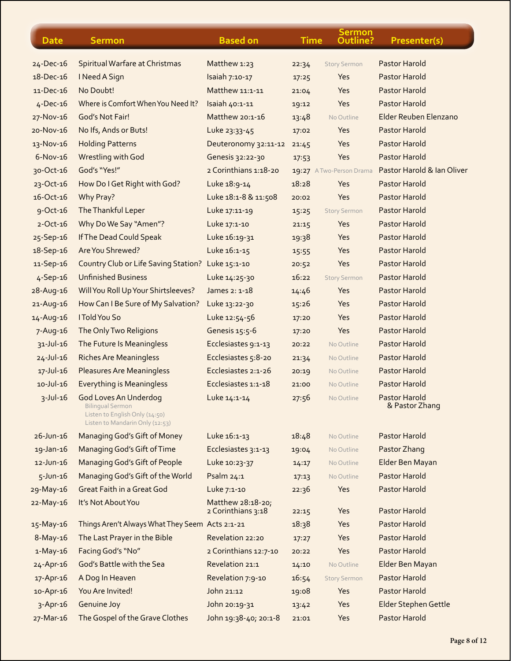| <b>Date</b>      | <b>Sermon</b>                                                                                                                | <b>Based on</b>                         | <b>Time</b>    | Sermon<br>Outline?         | Presenter(s)                    |
|------------------|------------------------------------------------------------------------------------------------------------------------------|-----------------------------------------|----------------|----------------------------|---------------------------------|
| 24-Dec-16        | Spiritual Warfare at Christmas                                                                                               | Matthew 1:23                            | 22:34          | <b>Story Sermon</b>        | Pastor Harold                   |
| $18 - Dec - 16$  | I Need A Sign                                                                                                                | Isaiah 7:10-17                          | 17:25          | Yes                        | <b>Pastor Harold</b>            |
| 11-Dec-16        | No Doubt!                                                                                                                    | Matthew 11:1-11                         | 21:04          | Yes                        | <b>Pastor Harold</b>            |
| $4$ -Dec-16      | Where is Comfort When You Need It?                                                                                           | Isaiah 40:1-11                          | 19:12          | Yes                        | <b>Pastor Harold</b>            |
| 27-Nov-16        | God's Not Fair!                                                                                                              | Matthew 20:1-16                         | 13:48          | No Outline                 | Elder Reuben Elenzano           |
| 20-Nov-16        | No Ifs, Ands or Buts!                                                                                                        | Luke 23:33-45                           | 17:02          | Yes                        | <b>Pastor Harold</b>            |
| 13-Nov-16        | <b>Holding Patterns</b>                                                                                                      | Deuteronomy 32:11-12                    | 21:45          | Yes                        | <b>Pastor Harold</b>            |
| $6-Nov-16$       | <b>Wrestling with God</b>                                                                                                    | Genesis 32:22-30                        | 17:53          | Yes                        | <b>Pastor Harold</b>            |
| 30-Oct-16        | God's "Yes!"                                                                                                                 | 2 Corinthians 1:18-20                   |                | 19:27 A Two-Person Drama   | Pastor Harold & Ian Oliver      |
| 23-Oct-16        | How Do I Get Right with God?                                                                                                 | Luke 18:9-14                            | 18:28          | Yes                        | <b>Pastor Harold</b>            |
| $16 - Oct - 16$  | Why Pray?                                                                                                                    | Luke 18:1-8 & 11:508                    | 20:02          | Yes                        | <b>Pastor Harold</b>            |
| 9-Oct-16         | The Thankful Leper                                                                                                           | Luke 17:11-19                           | 15:25          | <b>Story Sermon</b>        | <b>Pastor Harold</b>            |
| $2 - Oct - 16$   | Why Do We Say "Amen"?                                                                                                        | Luke 17:1-10                            | 21:15          | <b>Yes</b>                 | <b>Pastor Harold</b>            |
| 25-Sep-16        | If The Dead Could Speak                                                                                                      | Luke 16:19-31                           | 19:38          | Yes                        | <b>Pastor Harold</b>            |
| 18-Sep-16        | Are You Shrewed?                                                                                                             | Luke 16:1-15                            |                | Yes                        | <b>Pastor Harold</b>            |
| 11-Sep-16        | <b>Country Club or Life Saving Station?</b>                                                                                  | Luke 15:1-10                            | 15:55          | Yes                        | <b>Pastor Harold</b>            |
|                  | <b>Unfinished Business</b>                                                                                                   | Luke 14:25-30                           | 20:52<br>16:22 |                            | Pastor Harold                   |
| 4-Sep-16         |                                                                                                                              | James 2: 1-18                           |                | <b>Story Sermon</b><br>Yes | Pastor Harold                   |
| 28-Aug-16        | Will You Roll Up Your Shirtsleeves?                                                                                          |                                         | 14:46          |                            | <b>Pastor Harold</b>            |
| 21-Aug-16        | How Can I Be Sure of My Salvation?<br>I Told You So                                                                          | Luke 13:22-30                           | 15:26          | Yes                        | Pastor Harold                   |
| 14-Aug-16        |                                                                                                                              | Luke 12:54-56                           | 17:20          | Yes                        |                                 |
| $7 - Aug-16$     | The Only Two Religions                                                                                                       | Genesis 15:5-6                          | 17:20          | Yes                        | <b>Pastor Harold</b>            |
| $31 - Jul - 16$  | The Future Is Meaningless                                                                                                    | Ecclesiastes 9:1-13                     | 20:22          | No Outline                 | <b>Pastor Harold</b>            |
| $24 - Jul - 16$  | <b>Riches Are Meaningless</b>                                                                                                | Ecclesiastes 5:8-20                     | 21:34          | No Outline                 | <b>Pastor Harold</b>            |
| $17 - JU - 16$   | <b>Pleasures Are Meaningless</b>                                                                                             | Ecclesiastes 2:1-26                     | 20:19          | No Outline                 | Pastor Harold                   |
| $10 -$ Jul- $16$ | <b>Everything is Meaningless</b>                                                                                             | Ecclesiastes 1:1-18                     | 21:00          | No Outline                 | <b>Pastor Harold</b>            |
| $3-Jul-16$       | <b>God Loves An Underdog</b><br><b>Bilingual Sermon</b><br>Listen to English Only (14:50)<br>Listen to Mandarin Only (12:53) | Luke 14:1-14                            | 27:56          | No Outline                 | Pastor Harold<br>& Pastor Zhang |
| $26 - Jun - 16$  | Managing God's Gift of Money                                                                                                 | Luke 16:1-13                            | 18:48          | No Outline                 | Pastor Harold                   |
| 19-Jan-16        | Managing God's Gift of Time                                                                                                  | Ecclesiastes 3:1-13                     | 19:04          | No Outline                 | Pastor Zhang                    |
| $12$ -Jun-16     | Managing God's Gift of People                                                                                                | Luke 10:23-37                           | 14:17          | No Outline                 | Elder Ben Mayan                 |
| $5$ -Jun-16      | Managing God's Gift of the World                                                                                             | Psalm 24:1                              | 17:13          | No Outline                 | Pastor Harold                   |
| 29-May-16        | <b>Great Faith in a Great God</b>                                                                                            | Luke 7:1-10                             | 22:36          | Yes                        | <b>Pastor Harold</b>            |
| 22-May-16        | It's Not About You                                                                                                           | Matthew 28:18-20;<br>2 Corinthians 3:18 | 22:15          | Yes                        | Pastor Harold                   |
| 15-May-16        | Things Aren't Always What They Seem Acts 2:1-21                                                                              |                                         | 18:38          | Yes                        | <b>Pastor Harold</b>            |
| 8-May-16         | The Last Prayer in the Bible                                                                                                 | Revelation 22:20                        | 17:27          | Yes                        | Pastor Harold                   |
| $1-May-16$       | Facing God's "No"                                                                                                            | 2 Corinthians 12:7-10                   | 20:22          | Yes                        | Pastor Harold                   |
| 24-Apr-16        | God's Battle with the Sea                                                                                                    | Revelation 21:1                         | 14:10          | No Outline                 | Elder Ben Mayan                 |
| 17-Apr-16        | A Dog In Heaven                                                                                                              | Revelation 7:9-10                       | 16:54          | <b>Story Sermon</b>        | Pastor Harold                   |
| 10-Apr-16        | You Are Invited!                                                                                                             | John 21:12                              | 19:08          | Yes                        | Pastor Harold                   |
| $3-Apr-16$       | Genuine Joy                                                                                                                  | John 20:19-31                           | 13:42          | Yes                        | Elder Stephen Gettle            |
| 27-Mar-16        | The Gospel of the Grave Clothes                                                                                              | John 19:38-40; 20:1-8                   | 21:01          | Yes                        | Pastor Harold                   |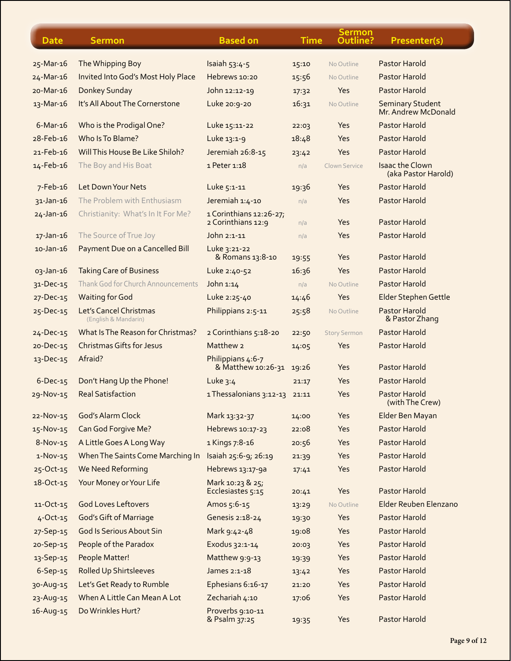| <b>Date</b>     | <b>Sermon</b>                                  | <b>Based on</b>                               | <b>Time</b> | <b>Sermon</b><br>Outline? | Presenter(s)                                  |
|-----------------|------------------------------------------------|-----------------------------------------------|-------------|---------------------------|-----------------------------------------------|
| 25-Mar-16       | The Whipping Boy                               | Isaiah 53:4-5                                 | 15:10       | No Outline                | <b>Pastor Harold</b>                          |
| 24-Mar-16       | Invited Into God's Most Holy Place             | Hebrews 10:20                                 | 15:56       | No Outline                | <b>Pastor Harold</b>                          |
| 20-Mar-16       | Donkey Sunday                                  | John 12:12-19                                 | 17:32       | Yes                       | <b>Pastor Harold</b>                          |
| 13-Mar-16       | It's All About The Cornerstone                 | Luke 20:9-20                                  | 16:31       | No Outline                | <b>Seminary Student</b>                       |
|                 |                                                |                                               |             |                           | Mr. Andrew McDonald                           |
| $6$ -Mar-16     | Who is the Prodigal One?                       | Luke 15:11-22                                 | 22:03       | Yes                       | Pastor Harold                                 |
| 28-Feb-16       | Who Is To Blame?                               | Luke 13:1-9                                   | 18:48       | Yes                       | <b>Pastor Harold</b>                          |
| 21-Feb-16       | Will This House Be Like Shiloh?                | Jeremiah 26:8-15                              | 23:42       | Yes                       | Pastor Harold                                 |
| 14-Feb-16       | The Boy and His Boat                           | 1 Peter 1:18                                  | n/a         | Clown Service             | <b>Isaac the Clown</b><br>(aka Pastor Harold) |
| 7-Feb-16        | Let Down Your Nets                             | Luke 5:1-11                                   | 19:36       | Yes                       | <b>Pastor Harold</b>                          |
| 31-Jan-16       | The Problem with Enthusiasm                    | Jeremiah 1:4-10                               | n/a         | Yes                       | <b>Pastor Harold</b>                          |
| $24 - Jan - 16$ | Christianity: What's In It For Me?             | 1 Corinthians 12:26-27;<br>2 Corinthians 12:9 | n/a         | Yes                       | Pastor Harold                                 |
| 17-Jan-16       | The Source of True Joy                         | John 2:1-11                                   | n/a         | Yes                       | <b>Pastor Harold</b>                          |
| $10$ -Jan- $16$ | Payment Due on a Cancelled Bill                | Luke 3:21-22<br>& Romans 13:8-10              | 19:55       | Yes                       | <b>Pastor Harold</b>                          |
| 03-Jan-16       | <b>Taking Care of Business</b>                 | Luke 2:40-52                                  | 16:36       | Yes                       | <b>Pastor Harold</b>                          |
| 31-Dec-15       | Thank God for Church Announcements             | John $1:14$                                   | n/a         | No Outline                | Pastor Harold                                 |
| 27-Dec-15       | <b>Waiting for God</b>                         | Luke 2:25-40                                  | 14:46       | Yes                       | <b>Elder Stephen Gettle</b>                   |
| 25-Dec-15       | Let's Cancel Christmas<br>(English & Mandarin) | Philippians 2:5-11                            | 25:58       | No Outline                | <b>Pastor Harold</b><br>& Pastor Zhang        |
| $24 - Dec-15$   | What Is The Reason for Christmas?              | 2 Corinthians 5:18-20                         | 22:50       | <b>Story Sermon</b>       | <b>Pastor Harold</b>                          |
| 20-Dec-15       | <b>Christmas Gifts for Jesus</b>               | Matthew 2                                     | 14:05       | Yes                       | Pastor Harold                                 |
| 13-Dec-15       | Afraid?                                        | Philippians 4:6-7<br>& Matthew 10:26-31       | 19:26       | Yes                       | <b>Pastor Harold</b>                          |
| $6-Dec-15$      | Don't Hang Up the Phone!                       | Luke 3:4                                      | 21:17       | Yes                       | <b>Pastor Harold</b>                          |
| 29-Nov-15       | <b>Real Satisfaction</b>                       | 1 Thessalonians 3:12-13                       | 21:11       | Yes                       | <b>Pastor Harold</b><br>(with The Crew)       |
| 22-Nov-15       | God's Alarm Clock                              | Mark 13:32-37                                 | 14:00       | Yes                       | Elder Ben Mayan                               |
| 15-Nov-15       | Can God Forgive Me?                            | Hebrews 10:17-23                              | 22:08       | Yes                       | <b>Pastor Harold</b>                          |
| 8-Nov-15        | A Little Goes A Long Way                       | 1 Kings 7:8-16                                | 20:56       | Yes                       | <b>Pastor Harold</b>                          |
| $1-Nov-15$      | When The Saints Come Marching In               | Isaiah 25:6-9; 26:19                          | 21:39       | Yes                       | Pastor Harold                                 |
| 25-Oct-15       | We Need Reforming                              | Hebrews 13:17-9a                              | 17:41       | Yes                       | Pastor Harold                                 |
| 18-Oct-15       | Your Money or Your Life                        | Mark 10:23 & 25;                              |             |                           | Pastor Harold                                 |
|                 | <b>God Loves Leftovers</b>                     | Ecclesiastes 5:15                             | 20:41       | Yes                       | Elder Reuben Elenzano                         |
| 11-Oct-15       |                                                | Amos 5:6-15                                   | 13:29       | No Outline                | <b>Pastor Harold</b>                          |
| $4$ -Oct-15     | <b>God's Gift of Marriage</b>                  | Genesis 2:18-24                               | 19:30       | Yes                       |                                               |
| 27-Sep-15       | <b>God Is Serious About Sin</b>                | Mark 9:42-48                                  | 19:08       | Yes                       | <b>Pastor Harold</b>                          |
| 20-Sep-15       | People of the Paradox                          | Exodus 32:1-14                                | 20:03       | Yes                       | <b>Pastor Harold</b>                          |
| 13-Sep-15       | People Matter!                                 | Matthew 9:9-13                                | 19:39       | Yes                       | <b>Pastor Harold</b>                          |
| $6-$ Sep $-15$  | <b>Rolled Up Shirtsleeves</b>                  | James 2:1-18                                  | 13:42       | Yes                       | <b>Pastor Harold</b>                          |
| 30-Aug-15       | Let's Get Ready to Rumble                      | Ephesians 6:16-17                             | 21:20       | Yes                       | <b>Pastor Harold</b>                          |
| 23-Aug-15       | When A Little Can Mean A Lot                   | Zechariah 4:10                                | 17:06       | Yes                       | <b>Pastor Harold</b>                          |
| 16-Aug-15       | Do Wrinkles Hurt?                              | Proverbs 9:10-11<br>& Psalm 37:25             | 19:35       | Yes                       | Pastor Harold                                 |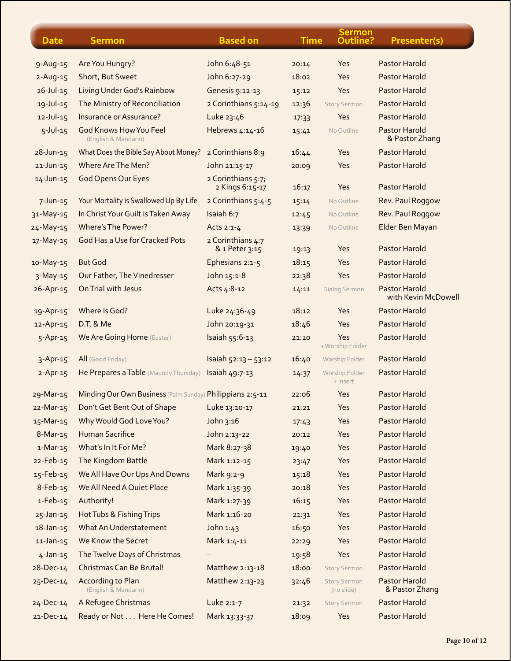| <b>Date</b>     | <b>Sermon</b>                                             | <b>Based on</b>                       | <b>Time</b> | <b>Sermon</b><br>Outline?         | Presenter(s)                                |
|-----------------|-----------------------------------------------------------|---------------------------------------|-------------|-----------------------------------|---------------------------------------------|
| 9-Aug-15        | Are You Hungry?                                           | John 6:48-51                          | 20:14       | Yes                               | <b>Pastor Harold</b>                        |
| $2 - Aug - 15$  | Short, But Sweet                                          | John 6:27-29                          | 18:02       | Yes                               | <b>Pastor Harold</b>                        |
| $26 - Jul - 15$ | Living Under God's Rainbow                                | Genesis 9:12-13                       | 15:12       | Yes                               | <b>Pastor Harold</b>                        |
| $19 - Jul - 15$ | The Ministry of Reconciliation                            | 2 Corinthians 5:14-19                 | 12:36       | <b>Story Sermon</b>               | <b>Pastor Harold</b>                        |
| $12 -$ Jul-15   | Insurance or Assurance?                                   | Luke 23:46                            | 17:33       | Yes                               | Pastor Harold                               |
| $5$ -Jul-15     | <b>God Knows How You Feel</b><br>(English & Mandarin)     | Hebrews 4:14-16                       | 15:41       | No Outline                        | <b>Pastor Harold</b><br>& Pastor Zhang      |
| $28 - Jun - 15$ | What Does the Bible Say About Money?                      | 2 Corinthians 8:9                     | 16:44       | Yes                               | Pastor Harold                               |
| $21$ -Jun-15    | Where Are The Men?                                        | John 21:15-17                         | 20:09       | Yes                               | <b>Pastor Harold</b>                        |
| 14-Jun-15       | God Opens Our Eyes                                        | 2 Corinthians 5:7;<br>2 Kings 6:15-17 | 16:17       | Yes                               | <b>Pastor Harold</b>                        |
| $7 - Jun - 15$  | Your Mortality is Swallowed Up By Life                    | 2 Corinthians 5:4-5                   | 15:14       | No Outline                        | Rev. Paul Roggow                            |
| 31-May-15       | In Christ Your Guilt is Taken Away                        | Isaiah 6:7                            | 12:45       | No Outline                        | Rev. Paul Roggow                            |
| 24-May-15       | Where's The Power?                                        | Acts 2:1-4                            | 13:39       | No Outline                        | Elder Ben Mayan                             |
| 17-May-15       | God Has a Use for Cracked Pots                            | 2 Corinthians 4:7<br>& 1 Peter 3:15   | 19:13       | Yes                               | <b>Pastor Harold</b>                        |
| 10-May-15       | <b>But God</b>                                            | Ephesians 2:1-5                       | 18:15       | Yes                               | <b>Pastor Harold</b>                        |
| $3-May-15$      | Our Father, The Vinedresser                               | John 15:1-8                           | 22:38       | Yes                               | <b>Pastor Harold</b>                        |
| 26-Apr-15       | On Trial with Jesus                                       | Acts 4:8-12                           | 14:11       | Dialog Sermon                     | <b>Pastor Harold</b><br>with Kevin McDowell |
| 19-Apr-15       | Where Is God?                                             | Luke 24:36-49                         | 18:12       | Yes                               | <b>Pastor Harold</b>                        |
| 12-Apr-15       | D.T. & Me                                                 | John 20:19-31                         | 18:46       | Yes                               | <b>Pastor Harold</b>                        |
| 5-Apr-15        | <b>We Are Going Home (Easter)</b>                         | Isaiah 55:6-13                        | 21:20       | Yes<br>+ Worship Folder           | Pastor Harold                               |
| $3-Apr-15$      | All (Good Friday)                                         | Isaiah $52:13 - 53:12$                | 16:40       | Worship Folder                    | <b>Pastor Harold</b>                        |
| $2-Apr-15$      | He Prepares a Table (Maundy Thursday)                     | Isaiah 49:7-13                        | 14:37       | Worship Folder<br>+ Insert        | <b>Pastor Harold</b>                        |
| 29-Mar-15       | Minding Our Own Business (Palm Sunday) Philippians 2:5-11 |                                       | 22:06       | Yes                               | Pastor Harold                               |
| 22-Mar-15       | Don't Get Bent Out of Shape                               | Luke 13:10-17                         | 21:21       | Yes                               | Pastor Harold                               |
| 15-Mar-15       | Why Would God Love You?                                   | John 3:16                             | 17:43       | Yes                               | Pastor Harold                               |
| $8-Mar-15$      | <b>Human Sacrifice</b>                                    | John 2:13-22                          | 20:12       | Yes                               | <b>Pastor Harold</b>                        |
| $1-Mar-15$      | What's In It For Me?                                      | Mark 8:27-38                          | 19:40       | Yes                               | <b>Pastor Harold</b>                        |
| 22-Feb-15       | The Kingdom Battle                                        | Mark 1:12-15                          | 23:47       | Yes                               | Pastor Harold                               |
| 15-Feb-15       | We All Have Our Ups And Downs                             | Mark 9:2-9                            | 15:18       | Yes                               | <b>Pastor Harold</b>                        |
| 8-Feb-15        | We All Need A Quiet Place                                 | Mark 1:35-39                          | 20:18       | Yes                               | <b>Pastor Harold</b>                        |
| $1-Feb-15$      | Authority!                                                | Mark 1:27-39                          | 16:15       | Yes                               | Pastor Harold                               |
| 25-Jan-15       | Hot Tubs & Fishing Trips                                  | Mark 1:16-20                          | 21:31       | Yes                               | <b>Pastor Harold</b>                        |
| $18 - Jan - 15$ | What An Understatement                                    | John 1:43                             | 16:50       | Yes                               | <b>Pastor Harold</b>                        |
| $11$ -Jan-15    | We Know the Secret                                        | Mark 1:4-11                           | 22:29       | Yes                               | Pastor Harold                               |
| $4-Jan-15$      | The Twelve Days of Christmas                              |                                       | 19:58       | Yes                               | <b>Pastor Harold</b>                        |
| $28 - Dec - 14$ | Christmas Can Be Brutal!                                  | Matthew 2:13-18                       | 18:00       | <b>Story Sermon</b>               | <b>Pastor Harold</b>                        |
| 25-Dec-14       | According to Plan<br>(English & Mandarin)                 | Matthew 2:13-23                       | 32:46       | <b>Story Sermon</b><br>(no slide) | <b>Pastor Harold</b><br>& Pastor Zhang      |
| $24 - Dec-14$   | A Refugee Christmas                                       | Luke 2:1-7                            | 21:32       | <b>Story Sermon</b>               | Pastor Harold                               |
| 21-Dec-14       | Ready or Not Here He Comes!                               | Mark 13:33-37                         | 18:09       | Yes                               | Pastor Harold                               |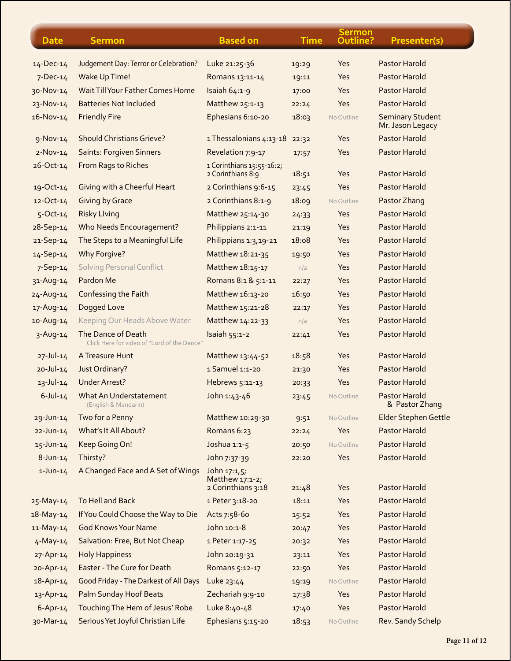| <b>Date</b>     | <b>Sermon</b>                                                     | <b>Based on</b>                                             | <b>Time</b> | <b>Sermon</b><br>Outline? | Presenter(s)                                |
|-----------------|-------------------------------------------------------------------|-------------------------------------------------------------|-------------|---------------------------|---------------------------------------------|
| $14 - Dec-14$   | Judgement Day: Terror or Celebration?                             | Luke 21:25-36                                               | 19:29       | Yes                       | <b>Pastor Harold</b>                        |
| $7$ -Dec-14     | Wake Up Time!                                                     | Romans 13:11-14                                             | 19:11       | Yes                       | <b>Pastor Harold</b>                        |
| 30-Nov-14       | Wait Till Your Father Comes Home                                  | Isaiah 64:1-9                                               | 17:00       | Yes                       | <b>Pastor Harold</b>                        |
| 23-Nov-14       | <b>Batteries Not Included</b>                                     | Matthew 25:1-13                                             | 22:24       | Yes                       | <b>Pastor Harold</b>                        |
| 16-Nov-14       | <b>Friendly Fire</b>                                              | Ephesians 6:10-20                                           | 18:03       | No Outline                | <b>Seminary Student</b><br>Mr. Jason Legacy |
| $9-Nov-14$      | <b>Should Christians Grieve?</b>                                  | 1 Thessalonians 4:13-18                                     | 22:32       | Yes                       | <b>Pastor Harold</b>                        |
| $2-Nov-14$      | <b>Saints: Forgiven Sinners</b>                                   | Revelation 7:9-17                                           | 17:57       | Yes                       | <b>Pastor Harold</b>                        |
| 26-Oct-14       | From Rags to Riches                                               | 1 Corinthians 15:55-16:2;<br>2 Corinthians 8:9              | 18:51       | Yes                       | <b>Pastor Harold</b>                        |
| 19-Oct-14       | Giving with a Cheerful Heart                                      | 2 Corinthians 9:6-15                                        | 23:45       | Yes                       | <b>Pastor Harold</b>                        |
| $12 - Oct-14$   | <b>Giving by Grace</b>                                            | 2 Corinthians 8:1-9                                         | 18:09       | No Outline                | Pastor Zhang                                |
| $5$ -Oct-14     | <b>Risky Llving</b>                                               | Matthew 25:14-30                                            | 24:33       | Yes                       | <b>Pastor Harold</b>                        |
| 28-Sep-14       | <b>Who Needs Encouragement?</b>                                   | Philippians 2:1-11                                          | 21:19       | Yes                       | <b>Pastor Harold</b>                        |
| 21-Sep-14       | The Steps to a Meaningful Life                                    | Philippians 1:3,19-21                                       | 18:08       | Yes                       | Pastor Harold                               |
| 14-Sep-14       | Why Forgive?                                                      | Matthew 18:21-35                                            | 19:50       | Yes                       | <b>Pastor Harold</b>                        |
| 7-Sep-14        | <b>Solving Personal Conflict</b>                                  | Matthew 18:15-17                                            | n/a         | Yes                       | <b>Pastor Harold</b>                        |
| 31-Aug-14       | Pardon Me                                                         | Romans 8:1 & 5:1-11                                         | 22:27       | Yes                       | Pastor Harold                               |
| $24 - Aug - 14$ | Confessing the Faith                                              | Matthew 16:13-20                                            | 16:50       | Yes                       | <b>Pastor Harold</b>                        |
| 17-Aug-14       | Dogged Love                                                       | Matthew 15:21-28                                            | 22:17       | Yes                       | <b>Pastor Harold</b>                        |
| 10-Aug-14       | Keeping Our Heads Above Water                                     | Matthew 14:22-33                                            | n/a         | Yes                       | <b>Pastor Harold</b>                        |
| $3 - Aug-14$    | The Dance of Death<br>Click Here for video of "Lord of the Dance" | Isaiah 55:1-2                                               | 22:41       | Yes                       | Pastor Harold                               |
| $27 - JU - 14$  | A Treasure Hunt                                                   | Matthew 13:44-52                                            | 18:58       | Yes                       | <b>Pastor Harold</b>                        |
| $20 - JUI - 14$ | Just Ordinary?                                                    | 1 Samuel 1:1-20                                             | 21:30       | Yes                       | <b>Pastor Harold</b>                        |
| $13 - Jul - 14$ | <b>Under Arrest?</b>                                              | Hebrews 5:11-13                                             | 20:33       | Yes                       | <b>Pastor Harold</b>                        |
| $6 - J$ ul-14   | What An Understatement<br>(English & Mandarin)                    | John 1:43-46                                                | 23:45       | No Outline                | Pastor Harold<br>& Pastor Zhang             |
| 29-Jun-14       | Two for a Penny                                                   | Matthew 10:29-30                                            | 9:51        | No Outline                | Elder Stephen Gettle                        |
| 22-Jun-14       | What's It All About?                                              | Romans 6:23                                                 | 22:24       | Yes                       | <b>Pastor Harold</b>                        |
| 15-Jun-14       | Keep Going On!                                                    | Joshua 1:1-5                                                | 20:50       | No Outline                | <b>Pastor Harold</b>                        |
| $8$ -Jun-14     | Thirsty?                                                          | John 7:37-39                                                | 22:20       | Yes                       | <b>Pastor Harold</b>                        |
| $1$ -Jun-14     | A Changed Face and A Set of Wings                                 | John $17:1,5$ ;<br>Matthew $17:1-2$ ;<br>2 Corinthians 3:18 | 21.48       | Yes                       | <b>Pastor Harold</b>                        |
| $25-May-14$     | To Hell and Back                                                  | 1 Peter 3:18-20                                             | 18:11       | Yes                       | <b>Pastor Harold</b>                        |
| $18 - May - 14$ | If You Could Choose the Way to Die                                | Acts 7:58-60                                                | 15:52       | Yes                       | <b>Pastor Harold</b>                        |
| 11-May-14       | <b>God Knows Your Name</b>                                        | John 10:1-8                                                 | 20:47       | Yes                       | <b>Pastor Harold</b>                        |
| $4 - May - 14$  | Salvation: Free, But Not Cheap                                    | 1 Peter 1:17-25                                             | 20:32       | Yes                       | <b>Pastor Harold</b>                        |
| 27-Apr-14       | <b>Holy Happiness</b>                                             | John 20:19-31                                               | 23:11       | Yes                       | <b>Pastor Harold</b>                        |
| 20-Apr-14       | Easter - The Cure for Death                                       | Romans 5:12-17                                              | 22:50       | Yes                       | <b>Pastor Harold</b>                        |
| 18-Apr-14       | Good Friday - The Darkest of All Days                             | Luke 23:44                                                  | 19:19       | No Outline                | <b>Pastor Harold</b>                        |
| 13-Apr-14       | <b>Palm Sunday Hoof Beats</b>                                     | Zechariah 9:9-10                                            | 17:38       | Yes                       | <b>Pastor Harold</b>                        |
| $6 - Apr - 14$  | Touching The Hem of Jesus' Robe                                   | Luke 8:40-48                                                | 17:40       | Yes                       | <b>Pastor Harold</b>                        |
| 30-Mar-14       | Serious Yet Joyful Christian Life                                 | Ephesians 5:15-20                                           | 18:53       | No Outline                | Rev. Sandy Schelp                           |